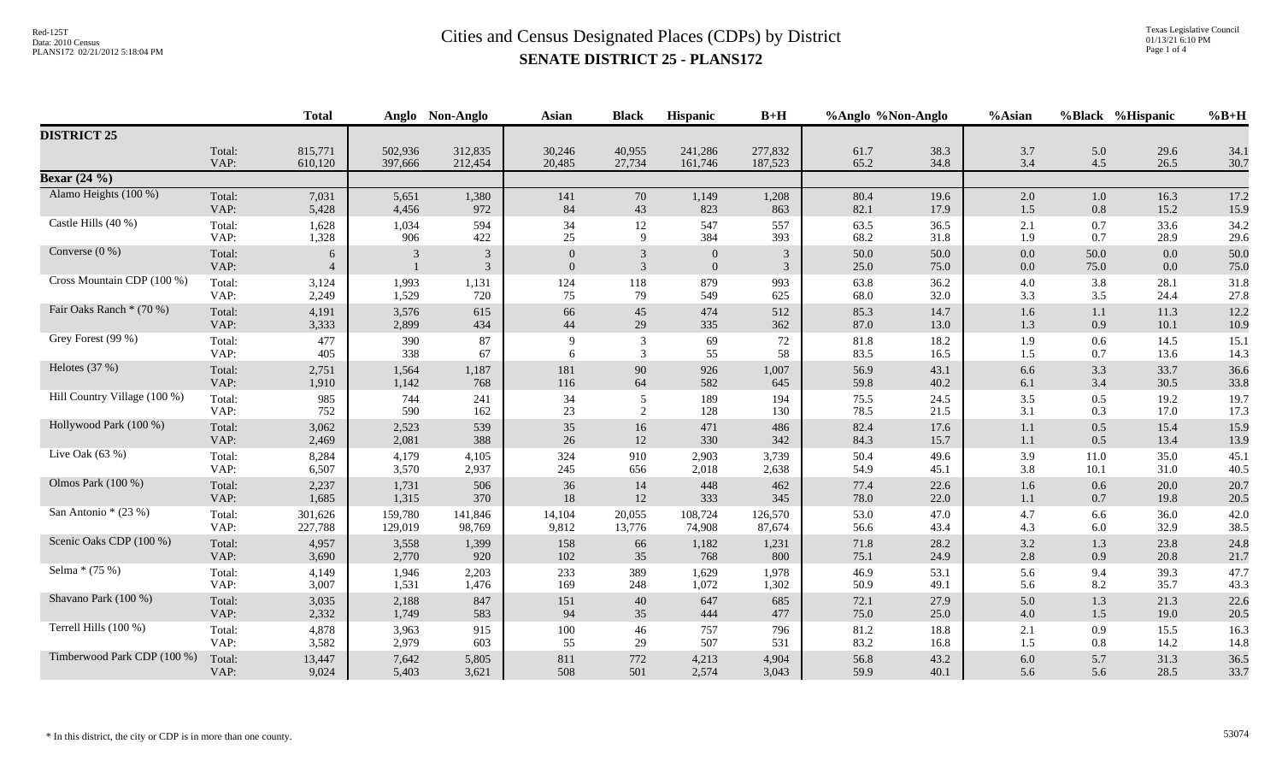|                              |                | <b>Total</b>        |         | Anglo Non-Anglo                  | <b>Asian</b>                     | <b>Black</b>                     | Hispanic                         | $B+H$               | %Anglo %Non-Anglo |              | %Asian         |              | %Black %Hispanic | $%B+H$       |
|------------------------------|----------------|---------------------|---------|----------------------------------|----------------------------------|----------------------------------|----------------------------------|---------------------|-------------------|--------------|----------------|--------------|------------------|--------------|
| <b>DISTRICT 25</b>           |                |                     |         |                                  |                                  |                                  |                                  |                     |                   |              |                |              |                  |              |
|                              | Total:         | 815,771             | 502,936 | 312,835                          | 30,246                           | 40,955                           | 241,286                          | 277,832             | 61.7              | 38.3         | 3.7            | 5.0          | 29.6             | 34.1         |
|                              | VAP:           | 610,120             | 397,666 | 212,454                          | 20,485                           | 27,734                           | 161,746                          | 187,523             | 65.2              | 34.8         | 3.4            | 4.5          | 26.5             | 30.7         |
| <b>Bexar</b> $(24\%)$        |                |                     |         |                                  |                                  |                                  |                                  |                     |                   |              |                |              |                  |              |
| Alamo Heights (100 %)        | Total:         | 7,031               | 5,651   | 1,380                            | 141                              | 70                               | 1,149                            | 1,208               | 80.4              | 19.6         | 2.0            | 1.0          | 16.3             | 17.2         |
|                              | VAP:           | 5,428               | 4,456   | 972                              | 84                               | 43                               | 823                              | 863                 | 82.1              | 17.9         | 1.5            | 0.8          | 15.2             | 15.9         |
| Castle Hills (40 %)          | Total:         | 1,628               | 1,034   | 594                              | 34                               | 12                               | 547                              | 557                 | 63.5              | 36.5         | 2.1            | 0.7          | 33.6             | 34.2         |
|                              | VAP:           | 1,328               | 906     | 422                              | 25                               | 9                                | 384                              | 393                 | 68.2              | 31.8         | 1.9            | 0.7          | 28.9             | 29.6         |
| Converse $(0\%)$             | Total:<br>VAP: | 6<br>$\overline{4}$ | 3       | $\overline{3}$<br>$\overline{3}$ | $\overline{0}$<br>$\overline{0}$ | $\mathfrak{Z}$<br>$\overline{3}$ | $\overline{0}$<br>$\overline{0}$ | $\mathfrak{Z}$<br>3 | 50.0<br>25.0      | 50.0<br>75.0 | $0.0\,$<br>0.0 | 50.0<br>75.0 | 0.0<br>0.0       | 50.0<br>75.0 |
| Cross Mountain CDP (100 %)   | Total:         | 3,124               | 1,993   | 1,131                            | 124                              | 118                              | 879                              | 993                 | 63.8              | 36.2         | 4.0            | 3.8          | 28.1             | 31.8         |
|                              | VAP:           | 2,249               | 1,529   | 720                              | 75                               | 79                               | 549                              | 625                 | 68.0              | 32.0         | 3.3            | 3.5          | 24.4             | 27.8         |
| Fair Oaks Ranch * (70 %)     | Total:         | 4,191               | 3,576   | 615                              | 66                               | 45                               | 474                              | 512                 | 85.3              | 14.7         | 1.6            | 1.1          | 11.3             | 12.2         |
|                              | VAP:           | 3,333               | 2,899   | 434                              | 44                               | 29                               | 335                              | 362                 | 87.0              | 13.0         | 1.3            | 0.9          | 10.1             | 10.9         |
| Grey Forest (99 %)           | Total:         | 477                 | 390     | 87                               | 9                                | 3                                | 69                               | $72\,$              | 81.8              | 18.2         | 1.9            | 0.6          | 14.5             | 15.1         |
|                              | VAP:           | 405                 | 338     | 67                               | 6                                | 3                                | 55                               | 58                  | 83.5              | 16.5         | 1.5            | 0.7          | 13.6             | 14.3         |
| Helotes (37 %)               | Total:         | 2,751               | 1,564   | 1,187                            | 181                              | 90                               | 926                              | 1,007               | 56.9              | 43.1         | 6.6            | 3.3          | 33.7             | 36.6         |
|                              | VAP:           | 1,910               | 1,142   | 768                              | 116                              | 64                               | 582                              | 645                 | 59.8              | 40.2         | 6.1            | 3.4          | 30.5             | 33.8         |
| Hill Country Village (100 %) | Total:         | 985                 | 744     | 241                              | 34                               | 5                                | 189                              | 194                 | 75.5              | 24.5         | 3.5            | 0.5          | 19.2             | 19.7         |
|                              | VAP:           | 752                 | 590     | 162                              | 23                               | 2                                | 128                              | 130                 | 78.5              | 21.5         | 3.1            | 0.3          | 17.0             | 17.3         |
| Hollywood Park (100 %)       | Total:         | 3,062               | 2,523   | 539                              | 35                               | 16                               | 471                              | 486                 | 82.4              | 17.6         | 1.1            | 0.5          | 15.4             | 15.9         |
|                              | VAP:           | 2,469               | 2,081   | 388                              | 26                               | 12                               | 330                              | 342                 | 84.3              | 15.7         | 1.1            | 0.5          | 13.4             | 13.9         |
| Live Oak $(63%)$             | Total:         | 8,284               | 4,179   | 4,105                            | 324                              | 910                              | 2,903                            | 3,739               | 50.4              | 49.6         | 3.9            | 11.0         | 35.0             | 45.1         |
|                              | VAP:           | 6,507               | 3,570   | 2,937                            | 245                              | 656                              | 2,018                            | 2,638               | 54.9              | 45.1         | 3.8            | 10.1         | 31.0             | 40.5         |
| Olmos Park (100 %)           | Total:         | 2,237               | 1,731   | 506                              | 36                               | 14                               | 448                              | 462                 | 77.4              | 22.6         | 1.6            | 0.6          | 20.0             | 20.7         |
|                              | VAP:           | 1,685               | 1,315   | 370                              | 18                               | 12                               | 333                              | 345                 | 78.0              | 22.0         | 1.1            | 0.7          | 19.8             | 20.5         |
| San Antonio * (23 %)         | Total:         | 301,626             | 159,780 | 141,846                          | 14,104                           | 20,055                           | 108,724                          | 126,570             | 53.0              | 47.0         | 4.7            | 6.6          | 36.0             | 42.0         |
|                              | VAP:           | 227,788             | 129,019 | 98,769                           | 9,812                            | 13,776                           | 74,908                           | 87,674              | 56.6              | 43.4         | 4.3            | 6.0          | 32.9             | 38.5         |
| Scenic Oaks CDP (100 %)      | Total:         | 4,957               | 3,558   | 1,399                            | 158                              | 66                               | 1,182                            | 1,231               | 71.8              | 28.2         | $3.2\,$        | 1.3          | 23.8             | 24.8         |
|                              | VAP:           | 3,690               | 2,770   | 920                              | 102                              | 35                               | 768                              | 800                 | 75.1              | 24.9         | 2.8            | 0.9          | 20.8             | 21.7         |
| Selma * (75 %)               | Total:         | 4,149               | 1,946   | 2,203                            | 233                              | 389                              | 1,629                            | 1,978               | 46.9              | 53.1         | 5.6            | 9.4          | 39.3             | 47.7         |
|                              | VAP:           | 3,007               | 1,531   | 1,476                            | 169                              | 248                              | 1,072                            | 1,302               | 50.9              | 49.1         | 5.6            | 8.2          | 35.7             | 43.3         |
| Shavano Park (100 %)         | Total:         | 3,035               | 2,188   | 847                              | 151                              | 40                               | 647                              | 685                 | 72.1              | 27.9         | 5.0            | 1.3          | 21.3             | 22.6         |
|                              | VAP:           | 2,332               | 1,749   | 583                              | 94                               | 35                               | 444                              | 477                 | 75.0              | 25.0         | 4.0            | 1.5          | 19.0             | 20.5         |
| Terrell Hills (100 %)        | Total:         | 4,878               | 3,963   | 915                              | 100                              | 46                               | 757                              | 796                 | 81.2              | 18.8         | 2.1            | 0.9          | 15.5             | 16.3         |
|                              | VAP:           | 3,582               | 2,979   | 603                              | 55                               | 29                               | 507                              | 531                 | 83.2              | 16.8         | 1.5            | 0.8          | 14.2             | 14.8         |
| Timberwood Park CDP (100 %)  | Total:         | 13,447              | 7,642   | 5,805                            | 811                              | 772                              | 4,213                            | 4,904               | 56.8              | 43.2         | $6.0\,$        | 5.7          | 31.3             | 36.5         |
|                              | VAP:           | 9,024               | 5,403   | 3,621                            | 508                              | 501                              | 2,574                            | 3,043               | 59.9              | 40.1         | 5.6            | 5.6          | 28.5             | 33.7         |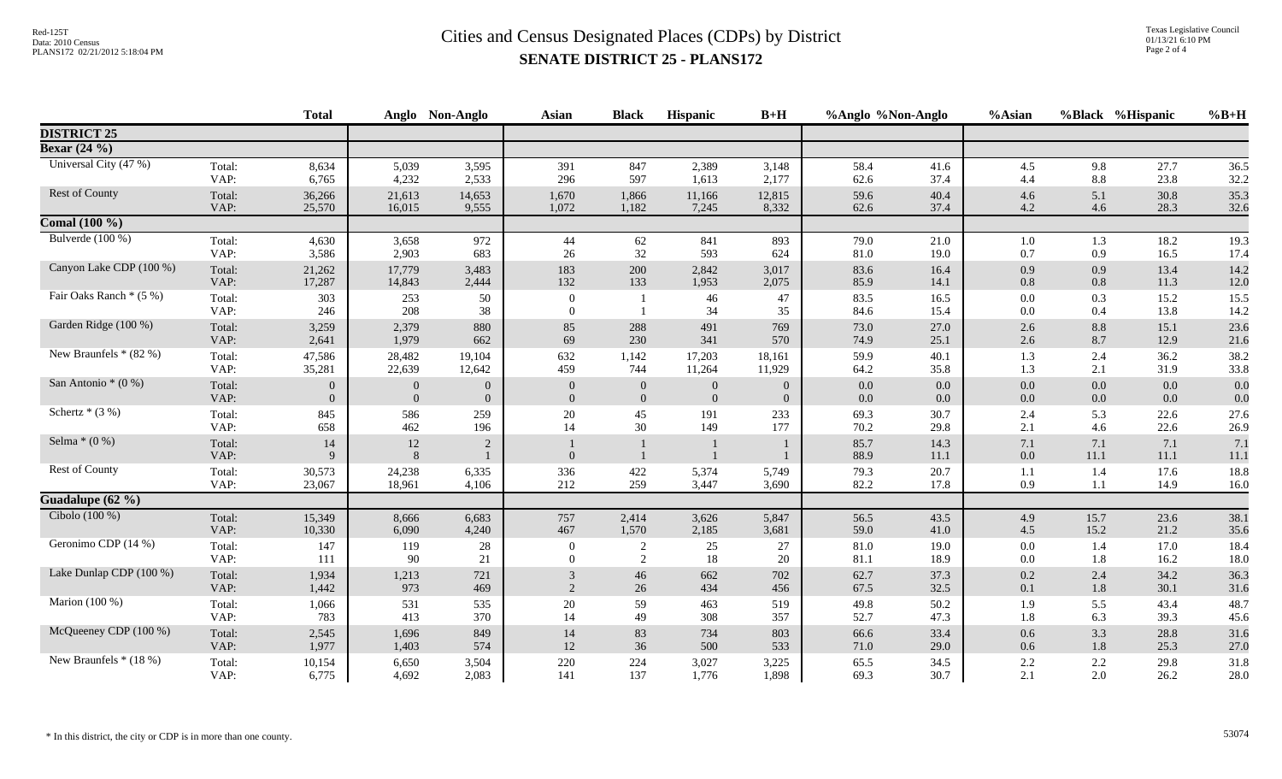|                         |                | <b>Total</b> |               | Anglo Non-Anglo | <b>Asian</b>                 | <b>Black</b>   | Hispanic       | $B+H$          | %Anglo %Non-Anglo |              | %Asian         |                 | %Black %Hispanic | $%B+H$       |
|-------------------------|----------------|--------------|---------------|-----------------|------------------------------|----------------|----------------|----------------|-------------------|--------------|----------------|-----------------|------------------|--------------|
| <b>DISTRICT 25</b>      |                |              |               |                 |                              |                |                |                |                   |              |                |                 |                  |              |
| <b>Bexar</b> $(24\%)$   |                |              |               |                 |                              |                |                |                |                   |              |                |                 |                  |              |
| Universal City (47 %)   | Total:         | 8,634        | 5,039         | 3,595           | 391                          | 847            | 2,389          | 3,148          | 58.4              | 41.6         | 4.5            | 9.8             | 27.7             | 36.5         |
|                         | VAP:           | 6,765        | 4,232         | 2,533           | 296                          | 597            | 1,613          | 2,177          | 62.6              | 37.4         | 4.4            | 8.8             | 23.8             | 32.2         |
| Rest of County          | Total:         | 36,266       | 21,613        | 14,653          | 1,670                        | 1,866          | 11,166         | 12,815         | 59.6              | 40.4         | 4.6            | 5.1             | 30.8             | 35.3         |
|                         | VAP:           | 25,570       | 16,015        | 9,555           | 1,072                        | 1,182          | 7,245          | 8,332          | 62.6              | 37.4         | 4.2            | 4.6             | 28.3             | 32.6         |
| Comal $(100\%)$         |                |              |               |                 |                              |                |                |                |                   |              |                |                 |                  |              |
| Bulverde $(100\%)$      | Total:         | 4,630        | 3,658         | 972             | 44                           | 62             | 841            | 893            | 79.0              | 21.0         | 1.0            | 1.3             | 18.2             | 19.3         |
|                         | VAP:           | 3,586        | 2,903         | 683             | 26                           | 32             | 593            | 624            | 81.0              | 19.0         | 0.7            | 0.9             | 16.5             | 17.4         |
| Canyon Lake CDP (100 %) | Total:         | 21,262       | 17,779        | 3,483           | 183                          | 200            | 2,842          | 3,017          | 83.6              | 16.4         | 0.9            | 0.9             | 13.4             | 14.2         |
|                         | VAP:           | 17,287       | 14,843        | 2,444           | 132                          | 133            | 1,953          | 2,075          | 85.9              | 14.1         | 0.8            | 0.8             | 11.3             | 12.0         |
| Fair Oaks Ranch * (5 %) | Total:<br>VAP: | 303<br>246   | 253<br>208    | 50<br>38        | $\boldsymbol{0}$<br>$\Omega$ |                | 46<br>34       | 47<br>35       | 83.5<br>84.6      | 16.5<br>15.4 | 0.0<br>0.0     | 0.3<br>0.4      | 15.2<br>13.8     | 15.5<br>14.2 |
| Garden Ridge (100 %)    | Total:         | 3,259        | 2,379         | 880             | 85                           | 288            | 491            | 769            | 73.0              | 27.0         | 2.6            | 8.8             | 15.1             | 23.6         |
|                         | VAP:           | 2,641        | 1,979         | 662             | 69                           | 230            | 341            | 570            | 74.9              | 25.1         | 2.6            | 8.7             | 12.9             | 21.6         |
| New Braunfels $*(82\%)$ | Total:         | 47,586       | 28,482        | 19,104          | 632                          | 1,142          | 17,203         | 18,161         | 59.9              | 40.1         | 1.3            | 2.4             | 36.2             | 38.2         |
|                         | VAP:           | 35,281       | 22,639        | 12,642          | 459                          | 744            | 11,264         | 11,929         | 64.2              | 35.8         | 1.3            | 2.1             | 31.9             | 33.8         |
| San Antonio * (0 %)     | Total:         | $\theta$     | $\theta$      | $\overline{0}$  | $\overline{0}$               | $\overline{0}$ | $\overline{0}$ | $\overline{0}$ | 0.0               | 0.0          | 0.0            | $0.0\,$         | 0.0              | 0.0          |
|                         | VAP:           | $\Omega$     | $\mathbf{0}$  | $\overline{0}$  | $\overline{0}$               | $\overline{0}$ | $\mathbf{0}$   | $\overline{0}$ | $0.0\,$           | $0.0\,$      | 0.0            | 0.0             | 0.0              | 0.0          |
| Schertz $*(3%)$         | Total:         | 845          | 586           | 259             | 20                           | 45             | 191            | 233            | 69.3              | 30.7         | 2.4            | 5.3             | 22.6             | 27.6         |
|                         | VAP:           | 658          | 462           | 196             | 14                           | 30             | 149            | 177            | 70.2              | 29.8         | 2.1            | 4.6             | 22.6             | 26.9         |
| Selma $*(0\%)$          | Total:<br>VAP: | 14<br>9      | 12<br>$\,8\,$ | 2               | $\overline{0}$               |                |                |                | 85.7<br>88.9      | 14.3<br>11.1 | 7.1<br>$0.0\,$ | 7.1<br>$11.1\,$ | 7.1<br>$11.1\,$  | 7.1<br>11.1  |
| Rest of County          | Total:         | 30,573       | 24,238        | 6,335           | 336                          | 422            | 5,374          | 5,749          | 79.3              | 20.7         | 1.1            | 1.4             | 17.6             | 18.8         |
|                         | VAP:           | 23,067       | 18,961        | 4,106           | 212                          | 259            | 3,447          | 3,690          | 82.2              | 17.8         | 0.9            | 1.1             | 14.9             | 16.0         |
| Guadalupe (62 %)        |                |              |               |                 |                              |                |                |                |                   |              |                |                 |                  |              |
| Cibolo $(100\%)$        | Total:         | 15,349       | 8,666         | 6,683           | 757                          | 2,414          | 3,626          | 5,847          | 56.5              | 43.5         | 4.9            | 15.7            | 23.6             | 38.1         |
|                         | VAP:           | 10,330       | 6,090         | 4,240           | 467                          | 1,570          | 2,185          | 3,681          | 59.0              | 41.0         | 4.5            | 15.2            | 21.2             | 35.6         |
| Geronimo CDP (14 %)     | Total:         | 147          | 119           | 28              | $\overline{0}$               | 2              | $25\,$         | $27\,$         | 81.0              | 19.0         | 0.0            | 1.4             | 17.0             | 18.4         |
|                         | VAP:           | 111          | 90            | 21              | $\Omega$                     | 2              | 18             | 20             | 81.1              | 18.9         | 0.0            | 1.8             | 16.2             | 18.0         |
| Lake Dunlap CDP (100 %) | Total:         | 1,934        | 1,213         | 721             | 3                            | 46             | 662            | 702            | 62.7              | 37.3         | 0.2            | 2.4             | 34.2             | 36.3         |
|                         | VAP:           | 1,442        | 973           | 469             | 2                            | 26             | 434            | 456            | 67.5              | 32.5         | 0.1            | $1.8\,$         | 30.1             | 31.6         |
| Marion (100 %)          | Total:         | 1,066        | 531           | 535             | 20                           | 59             | 463            | 519            | 49.8              | 50.2         | 1.9            | 5.5             | 43.4             | 48.7         |
|                         | VAP:           | 783          | 413           | 370             | 14                           | 49             | 308            | 357            | 52.7              | 47.3         | 1.8            | 6.3             | 39.3             | 45.6         |
| McQueeney CDP (100 %)   | Total:         | 2,545        | 1,696         | 849             | 14                           | 83             | 734            | 803            | 66.6              | 33.4         | 0.6            | 3.3             | 28.8             | 31.6         |
|                         | VAP:           | 1,977        | 1,403         | 574             | 12                           | 36             | 500            | 533            | 71.0              | 29.0         | 0.6            | $1.8\,$         | 25.3             | 27.0         |
| New Braunfels * (18 %)  | Total:         | 10,154       | 6,650         | 3,504           | 220                          | 224            | 3,027          | 3,225          | 65.5              | 34.5         | 2.2            | 2.2             | 29.8             | 31.8         |
|                         | VAP:           | 6,775        | 4,692         | 2,083           | 141                          | 137            | 1,776          | 1,898          | 69.3              | 30.7         | 2.1            | 2.0             | 26.2             | 28.0         |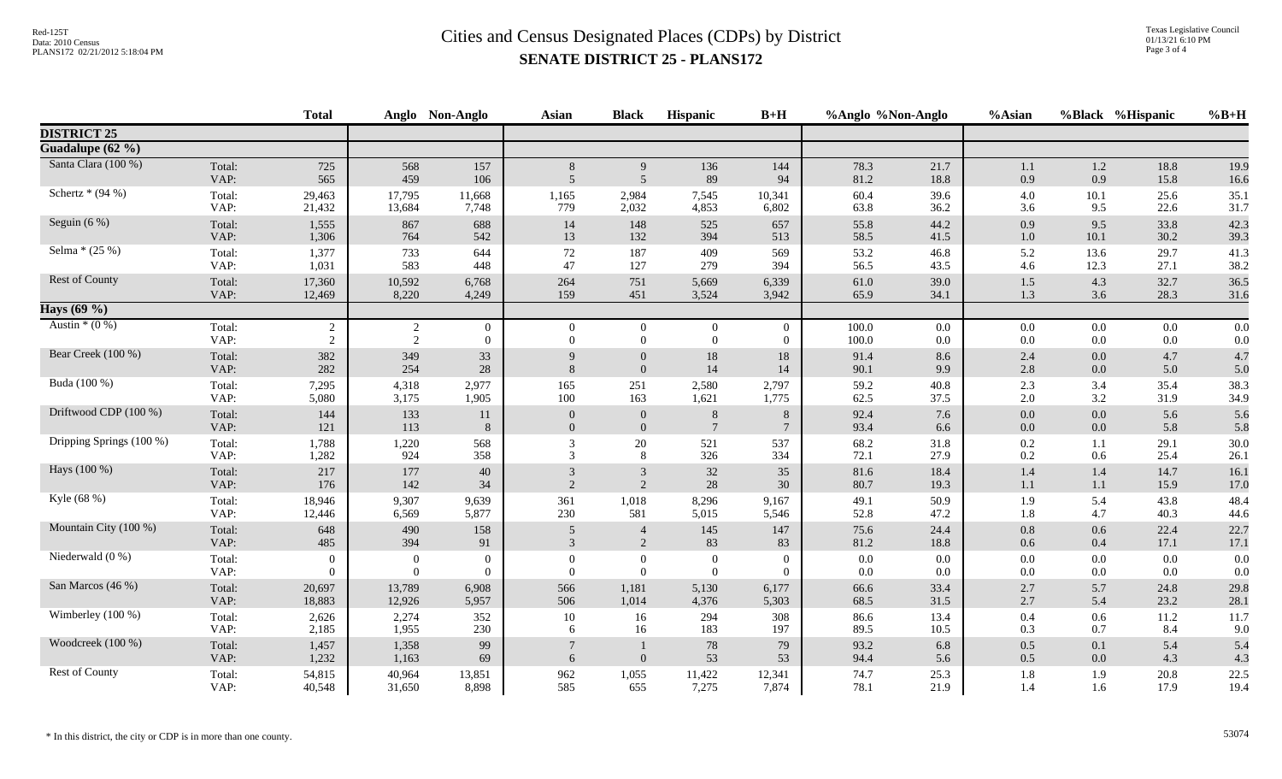|                          |                | <b>Total</b>     |                | Anglo Non-Anglo | <b>Asian</b>   | <b>Black</b>     | Hispanic        | $B+H$            | %Anglo %Non-Anglo |            | %Asian     | %Black %Hispanic |            | $%B+H$     |
|--------------------------|----------------|------------------|----------------|-----------------|----------------|------------------|-----------------|------------------|-------------------|------------|------------|------------------|------------|------------|
| <b>DISTRICT 25</b>       |                |                  |                |                 |                |                  |                 |                  |                   |            |            |                  |            |            |
| Guadalupe (62 %)         |                |                  |                |                 |                |                  |                 |                  |                   |            |            |                  |            |            |
| Santa Clara (100 %)      | Total:         | 725              | 568            | 157             | 8              | 9                | 136             | 144              | 78.3              | 21.7       | 1.1        | $1.2\,$          | 18.8       | 19.9       |
|                          | VAP:           | 565              | 459            | 106             | $\overline{5}$ | $5\overline{)}$  | 89              | 94               | 81.2              | 18.8       | 0.9        | 0.9              | 15.8       | 16.6       |
| Schertz $*(94\%)$        | Total:         | 29,463           | 17,795         | 11,668          | 1,165          | 2,984            | 7,545           | 10,341           | 60.4              | 39.6       | $4.0\,$    | 10.1             | 25.6       | 35.1       |
|                          | VAP:           | 21,432           | 13,684         | 7,748           | 779            | 2,032            | 4,853           | 6,802            | 63.8              | 36.2       | 3.6        | 9.5              | 22.6       | 31.7       |
| Seguin $(6\%)$           | Total:         | 1,555            | 867            | 688             | 14             | 148              | 525             | 657              | 55.8              | 44.2       | 0.9        | 9.5              | 33.8       | 42.3       |
|                          | VAP:           | 1,306            | 764            | 542             | 13             | 132              | 394             | 513              | 58.5              | 41.5       | 1.0        | 10.1             | 30.2       | 39.3       |
| Selma $*(25%)$           | Total:         | 1,377            | 733            | 644             | 72             | 187              | 409             | 569              | 53.2              | 46.8       | 5.2        | 13.6             | 29.7       | 41.3       |
|                          | VAP:           | 1,031            | 583            | 448             | 47             | 127              | 279             | 394              | 56.5              | 43.5       | 4.6        | 12.3             | 27.1       | 38.2       |
| Rest of County           | Total:         | 17,360           | 10,592         | 6,768           | 264            | 751              | 5,669           | 6,339            | 61.0              | 39.0       | $1.5\,$    | 4.3              | 32.7       | 36.5       |
|                          | VAP:           | 12,469           | 8,220          | 4,249           | 159            | 451              | 3,524           | 3,942            | 65.9              | 34.1       | 1.3        | 3.6              | 28.3       | 31.6       |
| Hays (69 %)              |                |                  |                |                 |                |                  |                 |                  |                   |            |            |                  |            |            |
| Austin $*(0\%)$          | Total:         | $\sqrt{2}$       | $\overline{c}$ | $\overline{0}$  | $\overline{0}$ | $\overline{0}$   | $\overline{0}$  | $\boldsymbol{0}$ | 100.0             | 0.0        | 0.0        | $0.0\,$          | 0.0        | 0.0        |
|                          | VAP:           | $\overline{2}$   | $\overline{c}$ | $\Omega$        | $\theta$       | $\Omega$         | $\theta$        | $\overline{0}$   | 100.0             | $0.0\,$    | 0.0        | $0.0\,$          | 0.0        | 0.0        |
| Bear Creek (100 %)       | Total:         | 382              | 349            | 33              | $\mathbf{Q}$   | $\theta$         | 18              | 18               | 91.4              | 8.6        | 2.4        | 0.0              | 4.7        | 4.7        |
|                          | VAP:           | 282              | 254            | 28              | $\mathbf{8}$   | $\Omega$         | 14              | 14               | 90.1              | 9.9        | 2.8        | 0.0              | 5.0        | 5.0        |
| Buda (100 %)             | Total:         | 7,295            | 4,318          | 2,977           | 165            | 251              | 2,580           | 2,797            | 59.2              | 40.8       | 2.3        | 3.4              | 35.4       | 38.3       |
|                          | VAP:           | 5,080            | 3,175          | 1,905           | 100            | 163              | 1,621           | 1,775            | 62.5              | 37.5       | 2.0        | 3.2              | 31.9       | 34.9       |
| Driftwood CDP (100 %)    | Total:         | 144              | 133            | 11              | $\mathbf{0}$   | $\boldsymbol{0}$ | $8\phantom{.}8$ | $\,8\,$          | 92.4              | 7.6        | $0.0\,$    | 0.0              | 5.6        | 5.6        |
|                          | VAP:           | 121              | 113            | 8               | $\overline{0}$ | $\mathbf{0}$     | $7\phantom{.0}$ | $\overline{7}$   | 93.4              | 6.6        | $0.0\,$    | $0.0\,$          | 5.8        | 5.8        |
| Dripping Springs (100 %) | Total:         | 1,788            | 1,220          | 568             | 3              | 20               | 521             | 537              | 68.2              | 31.8       | 0.2        | 1.1              | 29.1       | 30.0       |
|                          | VAP:           | 1,282            | 924            | 358             | 3              | 8                | 326             | 334              | 72.1              | 27.9       | 0.2        | 0.6              | 25.4       | 26.1       |
| Hays (100 %)             | Total:         | 217              | 177            | 40              | 3              | 3                | 32              | 35               | 81.6              | 18.4       | $1.4\,$    | 1.4              | 14.7       | 16.1       |
|                          | VAP:           | 176              | 142            | 34              | 2              | 2                | 28              | $30\,$           | 80.7              | 19.3       | 1.1        | 1.1              | 15.9       | 17.0       |
| Kyle (68 %)              | Total:         | 18,946           | 9,307          | 9,639           | 361            | 1,018            | 8,296           | 9,167            | 49.1              | 50.9       | 1.9        | 5.4              | 43.8       | 48.4       |
|                          | VAP:           | 12,446           | 6,569          | 5,877           | 230            | 581              | 5,015           | 5,546            | 52.8              | 47.2       | 1.8        | 4.7              | 40.3       | 44.6       |
| Mountain City (100 %)    | Total:         | 648              | 490            | 158             | 5              | $\overline{4}$   | 145             | 147              | 75.6              | 24.4       | 0.8        | 0.6              | 22.4       | 22.7       |
|                          | VAP:           | 485              | 394            | 91              | 3              | 2                | 83              | 83               | 81.2              | 18.8       | 0.6        | 0.4              | 17.1       | 17.1       |
| Niederwald $(0\%)$       | Total:         | $\boldsymbol{0}$ | $\mathbf{0}$   | $\overline{0}$  | $\theta$       | $\overline{0}$   | $\overline{0}$  | $\overline{0}$   | $0.0\,$           | 0.0        | $0.0\,$    | 0.0              | $0.0\,$    | 0.0        |
|                          | VAP:           | $\overline{0}$   | $\theta$       | $\overline{0}$  | $\Omega$       | $\overline{0}$   | $\Omega$        | $\overline{0}$   | 0.0               | 0.0        | 0.0        | 0.0              | 0.0        | 0.0        |
| San Marcos (46 %)        | Total:         | 20,697           | 13,789         | 6,908           | 566            | 1,181            | 5,130           | 6,177            | 66.6              | 33.4       | 2.7        | 5.7              | 24.8       | 29.8       |
|                          | VAP:           | 18,883           | 12,926         | 5,957           | 506            | 1,014            | 4,376           | 5,303            | 68.5              | 31.5       | 2.7        | 5.4              | 23.2       | 28.1       |
| Wimberley (100 %)        | Total:         | 2,626            | 2,274          | 352             | 10             | 16               | 294             | 308              | 86.6              | 13.4       | $0.4\,$    | 0.6              | 11.2       | 11.7       |
|                          | VAP:           | 2,185            | 1,955          | 230             | 6              | 16               | 183             | 197              | 89.5              | 10.5       | 0.3        | 0.7              | 8.4        | 9.0        |
| Woodcreek (100 %)        | Total:<br>VAP: | 1,457<br>1,232   | 1,358<br>1,163 | 99<br>69        | 6              | $\theta$         | 78<br>53        | 79<br>53         | 93.2<br>94.4      | 6.8<br>5.6 | 0.5<br>0.5 | 0.1<br>0.0       | 5.4<br>4.3 | 5.4<br>4.3 |
| Rest of County           | Total:         | 54,815           | 40,964         | 13,851          | 962            | 1,055            | 11,422          | 12,341           | 74.7              | 25.3       | $1.8\,$    | 1.9              | $20.8\,$   | 22.5       |
|                          | VAP:           | 40,548           | 31,650         | 8,898           | 585            | 655              | 7,275           | 7,874            | 78.1              | 21.9       | 1.4        | 1.6              | 17.9       | 19.4       |